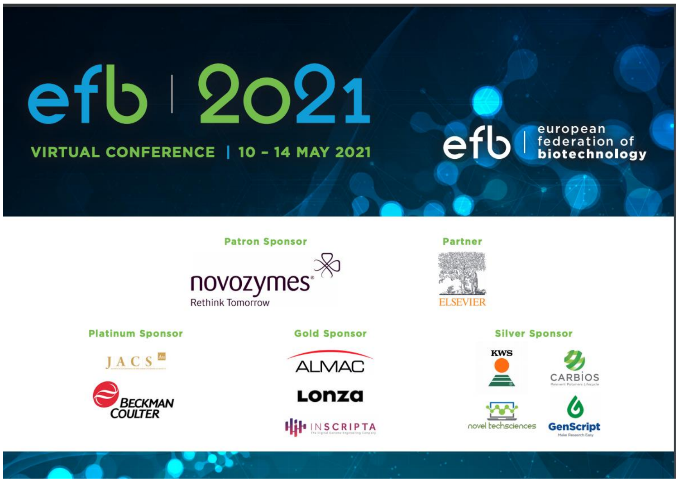efb 202 VIRTUAL CONFERENCE | 10 - 14 MAY 2021

## efb

**Patron Sponsor** 



**Platinum Sponsor** 

JACS<sup>M</sup>



**Gold Sponsor** 



Lonza



**ELSEVIER** 

**Partner** 

**Silver Sponsor** 



novel techsciences



european<br>federation of<br>**biotechnology**